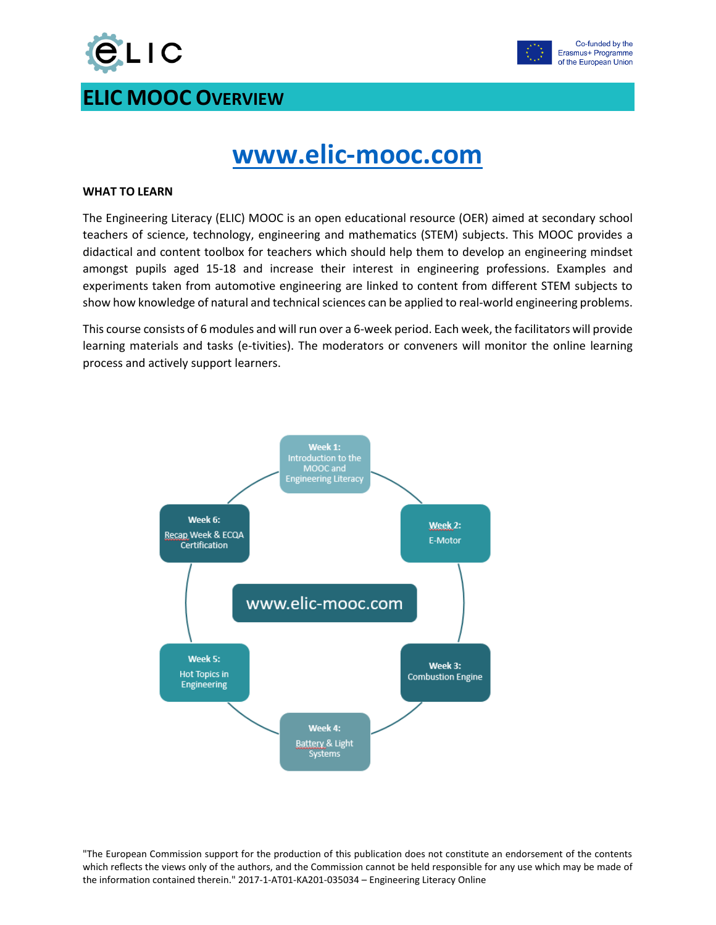



# **[www.elic-mooc.com](http://www.elic-mooc.com/)**

#### **WHAT TO LEARN**

The Engineering Literacy (ELIC) MOOC is an open educational resource (OER) aimed at secondary school teachers of science, technology, engineering and mathematics (STEM) subjects. This MOOC provides a didactical and content toolbox for teachers which should help them to develop an engineering mindset amongst pupils aged 15-18 and increase their interest in engineering professions. Examples and experiments taken from automotive engineering are linked to content from different STEM subjects to show how knowledge of natural and technical sciences can be applied to real-world engineering problems.

This course consists of 6 modules and will run over a 6-week period. Each week, the facilitators will provide learning materials and tasks (e-tivities). The moderators or conveners will monitor the online learning process and actively support learners.

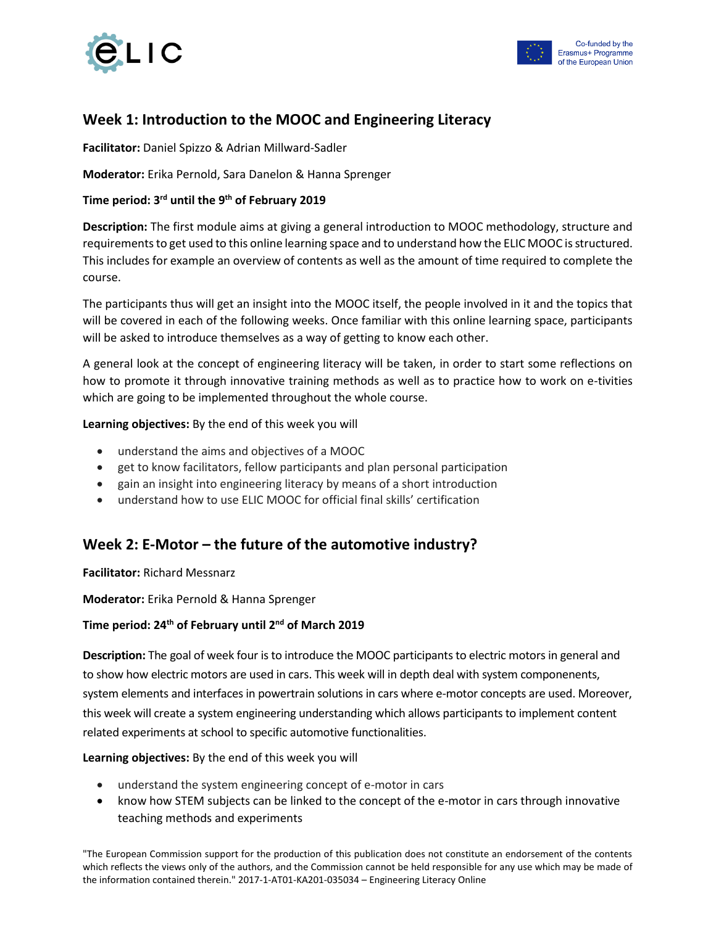



## **Week 1: Introduction to the MOOC and Engineering Literacy**

**Facilitator:** Daniel Spizzo & Adrian Millward-Sadler

**Moderator:** Erika Pernold, Sara Danelon & Hanna Sprenger

#### **Time period: 3 rd until the 9th of February 2019**

**Description:** The first module aims at giving a general introduction to MOOC methodology, structure and requirements to get used to this online learning space and to understand how the ELIC MOOC is structured. This includes for example an overview of contents as well as the amount of time required to complete the course.

The participants thus will get an insight into the MOOC itself, the people involved in it and the topics that will be covered in each of the following weeks. Once familiar with this online learning space, participants will be asked to introduce themselves as a way of getting to know each other.

A general look at the concept of engineering literacy will be taken, in order to start some reflections on how to promote it through innovative training methods as well as to practice how to work on e-tivities which are going to be implemented throughout the whole course.

**Learning objectives:** By the end of this week you will

- understand the aims and objectives of a MOOC
- get to know facilitators, fellow participants and plan personal participation
- gain an insight into engineering literacy by means of a short introduction
- understand how to use ELIC MOOC for official final skills' certification

## **Week 2: E-Motor – the future of the automotive industry?**

**Facilitator:** Richard Messnarz

**Moderator:** Erika Pernold & Hanna Sprenger

### **Time period: 24th of February until 2nd of March 2019**

**Description:** The goal of week four is to introduce the MOOC participants to electric motors in general and to show how electric motors are used in cars. This week will in depth deal with system componenents, system elements and interfaces in powertrain solutions in cars where e-motor concepts are used. Moreover, this week will create a system engineering understanding which allows participants to implement content related experiments at school to specific automotive functionalities.

**Learning objectives:** By the end of this week you will

- understand the system engineering concept of e-motor in cars
- know how STEM subjects can be linked to the concept of the e-motor in cars through innovative teaching methods and experiments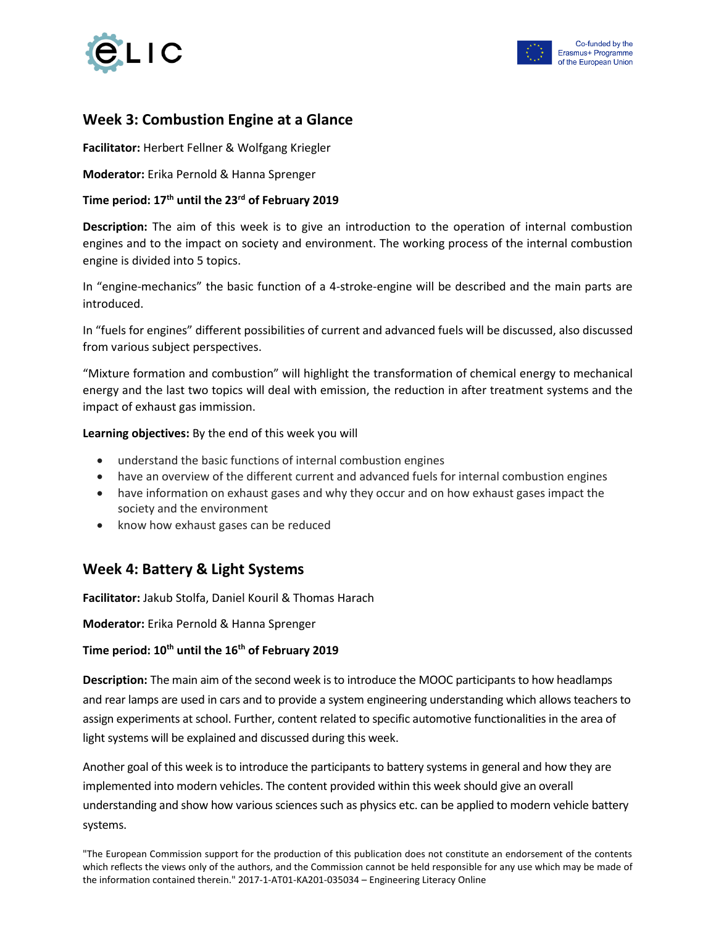



## **Week 3: Combustion Engine at a Glance**

**Facilitator:** Herbert Fellner & Wolfgang Kriegler

**Moderator:** Erika Pernold & Hanna Sprenger

#### **Time period: 17th until the 23rd of February 2019**

**Description:** The aim of this week is to give an introduction to the operation of internal combustion engines and to the impact on society and environment. The working process of the internal combustion engine is divided into 5 topics.

In "engine-mechanics" the basic function of a 4-stroke-engine will be described and the main parts are introduced.

In "fuels for engines" different possibilities of current and advanced fuels will be discussed, also discussed from various subject perspectives.

"Mixture formation and combustion" will highlight the transformation of chemical energy to mechanical energy and the last two topics will deal with emission, the reduction in after treatment systems and the impact of exhaust gas immission.

**Learning objectives:** By the end of this week you will

- understand the basic functions of internal combustion engines
- have an overview of the different current and advanced fuels for internal combustion engines
- have information on exhaust gases and why they occur and on how exhaust gases impact the society and the environment
- know how exhaust gases can be reduced

## **Week 4: Battery & Light Systems**

**Facilitator:** Jakub Stolfa, Daniel Kouril & Thomas Harach

**Moderator:** Erika Pernold & Hanna Sprenger

#### **Time period: 10th until the 16th of February 2019**

**Description:** The main aim of the second week is to introduce the MOOC participants to how headlamps and rear lamps are used in cars and to provide a system engineering understanding which allows teachers to assign experiments at school. Further, content related to specific automotive functionalities in the area of light systems will be explained and discussed during this week.

Another goal of this week is to introduce the participants to battery systems in general and how they are implemented into modern vehicles. The content provided within this week should give an overall understanding and show how various sciences such as physics etc. can be applied to modern vehicle battery systems.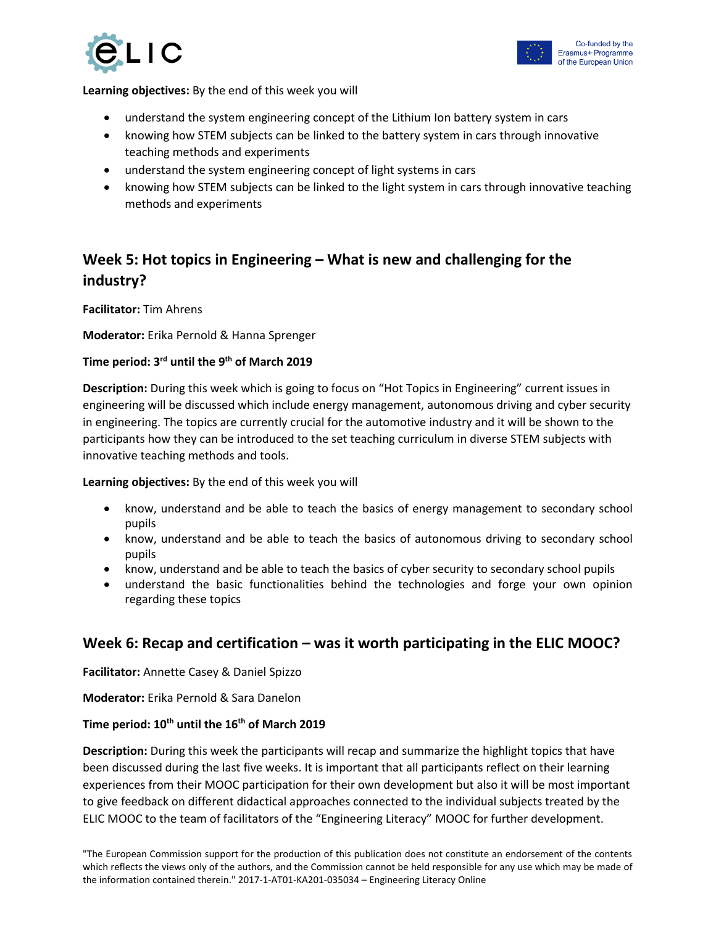

#### **Learning objectives:** By the end of this week you will

- understand the system engineering concept of the Lithium Ion battery system in cars
- knowing how STEM subjects can be linked to the battery system in cars through innovative teaching methods and experiments
- understand the system engineering concept of light systems in cars
- knowing how STEM subjects can be linked to the light system in cars through innovative teaching methods and experiments

## **Week 5: Hot topics in Engineering – What is new and challenging for the industry?**

**Facilitator:** Tim Ahrens

**Moderator:** Erika Pernold & Hanna Sprenger

#### **Time period: 3rd until the 9th of March 2019**

**Description:** During this week which is going to focus on "Hot Topics in Engineering" current issues in engineering will be discussed which include energy management, autonomous driving and cyber security in engineering. The topics are currently crucial for the automotive industry and it will be shown to the participants how they can be introduced to the set teaching curriculum in diverse STEM subjects with innovative teaching methods and tools.

**Learning objectives:** By the end of this week you will

- know, understand and be able to teach the basics of energy management to secondary school pupils
- know, understand and be able to teach the basics of autonomous driving to secondary school pupils
- know, understand and be able to teach the basics of cyber security to secondary school pupils
- understand the basic functionalities behind the technologies and forge your own opinion regarding these topics

## **Week 6: Recap and certification – was it worth participating in the ELIC MOOC?**

**Facilitator:** Annette Casey & Daniel Spizzo

**Moderator:** Erika Pernold & Sara Danelon

## **Time period: 10th until the 16th of March 2019**

**Description:** During this week the participants will recap and summarize the highlight topics that have been discussed during the last five weeks. It is important that all participants reflect on their learning experiences from their MOOC participation for their own development but also it will be most important to give feedback on different didactical approaches connected to the individual subjects treated by the ELIC MOOC to the team of facilitators of the "Engineering Literacy" MOOC for further development.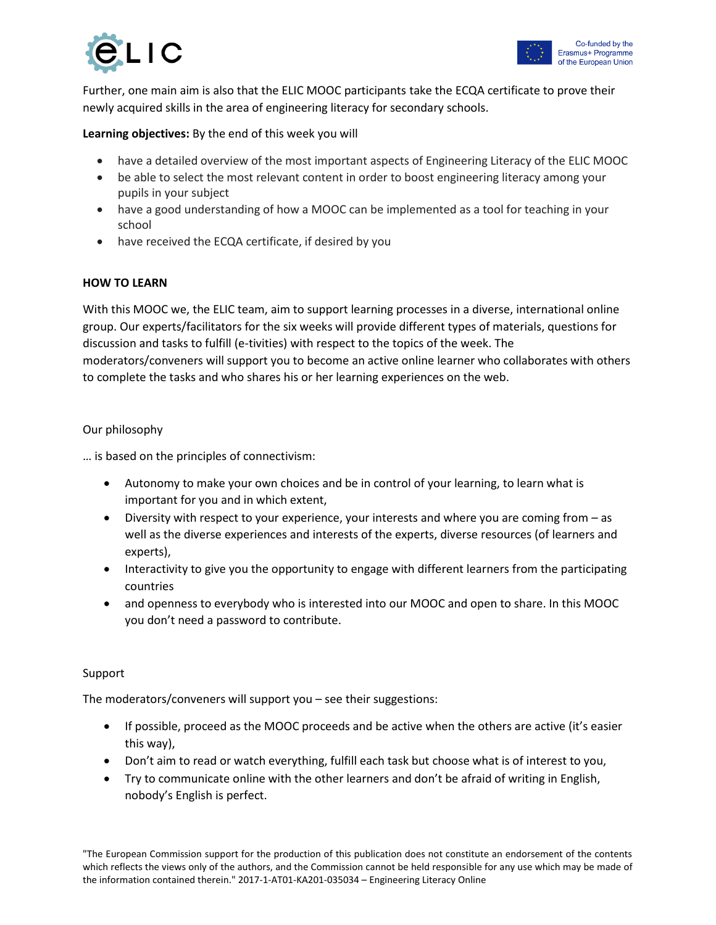



Further, one main aim is also that the ELIC MOOC participants take the ECQA certificate to prove their newly acquired skills in the area of engineering literacy for secondary schools.

**Learning objectives:** By the end of this week you will

- have a detailed overview of the most important aspects of Engineering Literacy of the ELIC MOOC
- be able to select the most relevant content in order to boost engineering literacy among your pupils in your subject
- have a good understanding of how a MOOC can be implemented as a tool for teaching in your school
- have received the ECQA certificate, if desired by you

#### **HOW TO LEARN**

With this MOOC we, the ELIC team, aim to support learning processes in a diverse, international online group. Our experts/facilitators for the six weeks will provide different types of materials, questions for discussion and tasks to fulfill (e-tivities) with respect to the topics of the week. The moderators/conveners will support you to become an active online learner who collaborates with others to complete the tasks and who shares his or her learning experiences on the web.

#### Our philosophy

… is based on the principles of connectivism:

- Autonomy to make your own choices and be in control of your learning, to learn what is important for you and in which extent,
- Diversity with respect to your experience, your interests and where you are coming from as well as the diverse experiences and interests of the experts, diverse resources (of learners and experts),
- Interactivity to give you the opportunity to engage with different learners from the participating countries
- and openness to everybody who is interested into our MOOC and open to share. In this MOOC you don't need a password to contribute.

#### Support

The moderators/conveners will support you – see their suggestions:

- If possible, proceed as the MOOC proceeds and be active when the others are active (it's easier this way),
- Don't aim to read or watch everything, fulfill each task but choose what is of interest to you,
- Try to communicate online with the other learners and don't be afraid of writing in English, nobody's English is perfect.